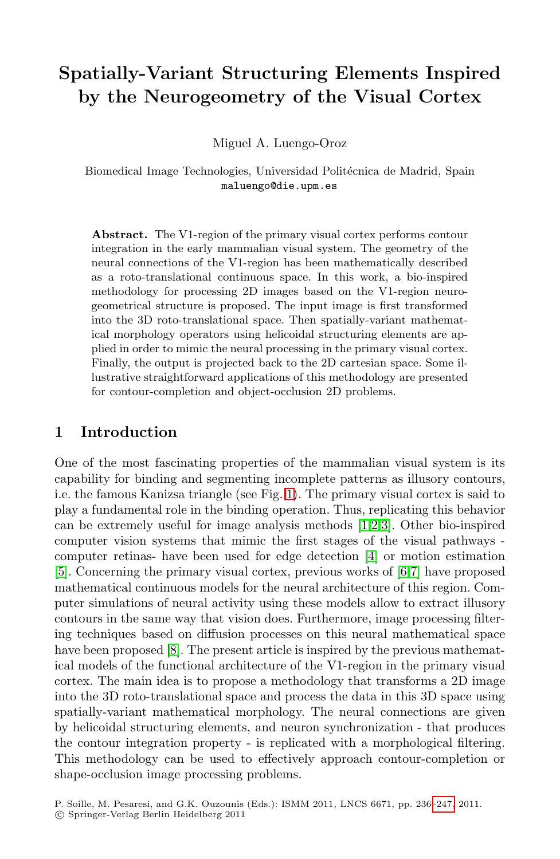# **Spatially-Variant Structuring Elements Inspired by the Neurogeometry of the Visual Cortex**

Miguel A. Luengo-Oroz

Biomedical Image Technologies, Universidad Politécnica de Madrid, Spain maluengo@die.upm.es

**Abstract.** The V1-region of the primary visual cortex performs contour integration in the early mammalian visual system. The geometry of the neural connections of the V1-region has been mathematically described as a roto-translational continuous space. In this work, a bio-inspired methodology for processing 2D images based on the V1-region neurogeometrical structure is proposed. The input image is first transformed into the 3D roto-translational space. Then spatially-variant mathematical morphology operators using helicoidal structuring elements are applied in order to mimic the neural processing in the primary visual cortex. Finally, the output is projected back to the 2D cartesian space. Some illustrative straig[htf](#page-1-0)orward applications of this methodology are presented for contour-completion and object-occlusion 2D problems.

## **1 Introduction**

One of the most fascinating properties o[f](#page-11-0) [th](#page-11-1)e mammalian visual system is its capability for binding and segmenting incomplete patterns as illusory contours, i.e. the famous Kanizsa triangle (see Fig. 1). The primary visual cortex is said to play a fundamental role in the binding operation. Thus, replicating this behavior c[an](#page-11-2) be extremely useful for image analysis methods [1,2,3]. Other bio-inspired computer vision systems that mimic the first stages of the visual pathways computer retinas- have been used for edge detection [4] or motion estimation [5]. Concerning the primary visual cortex, previous works of [6,7] have proposed mathematical continuous models for the neural architecture of this region. Computer simulations of neural activity using these models allow to extract illusory contours in the same way that vision does. Furthermore, image processing filtering techniques based on diffusion processes on this neural mathematical space have been proposed [8]. The present article is inspired by the previous mathematical models of the functional architecture of the V1-region in the primary visual cortex. The main idea is to propose a methodol[ogy](#page-11-3) that transforms a 2D image into the 3D roto-translational space and process the data in this 3D space using spatially-variant mathematical morphology. The neural connections are given by helicoidal structuring elements, and neuron synchronization - that produces the contour integration property - is replicated with a morphological filtering. This methodology can be used to effectively approach contour-completion or shape-occlusion image processing problems.

P. Soille, M. Pesaresi, and G.K. Ouzounis (Eds.): ISMM 2011, LNCS 6671, pp. 236–247, 2011. -c Springer-Verlag Berlin Heidelberg 2011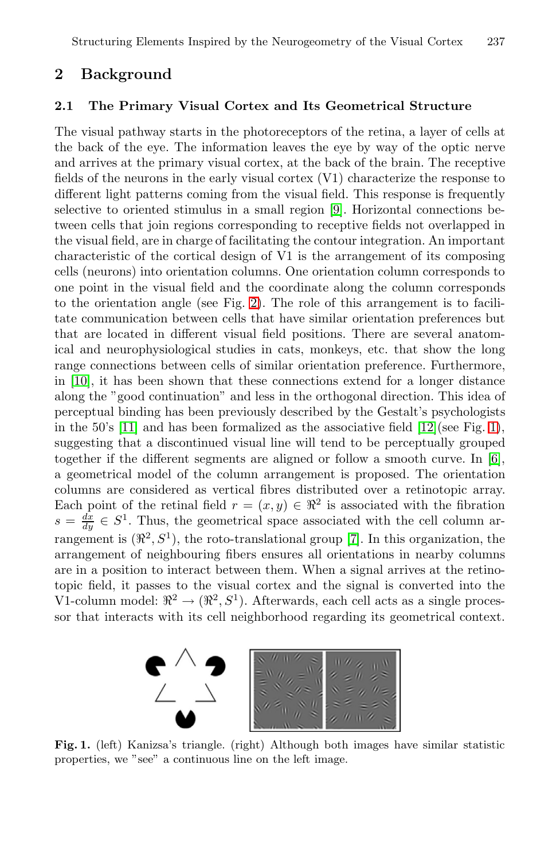## **2 Background**

#### **2.1 The Primary Visual Cortex and Its Geometrical Structure**

The visual pathway starts in the photoreceptors of the retina, a layer of cells at the back of the eye. The information leaves the eye by way of the optic nerve and arrives at the primary visual cortex, at the back of the brain. The receptive fields of the ne[uro](#page-2-0)ns in the early visual cortex (V1) characterize the response to different light patterns coming from the visual field. This response is frequently selective to oriented stimulus in a small region [9]. Horizontal connections between cells that join regions corresponding to receptive fields not overlapped in the visual field, are in charge of facilitating the contour integration. An important characteristic of the cortical design of V1 is the arrangement of its composing cells (neurons) into orientation columns. One orientation column corresponds to one point in the visual field and the coordinate along the column corresponds to the orientation angle (see Fig. 2). The ro[le o](#page-11-4)f this ar[ran](#page-1-0)gement is to facilitate communication between cells that have similar orientation preferences but that are located in different visual field positions. Ther[e a](#page-11-0)re several anatomical and neurophysiological studies in cats, monkeys, etc. that show the long range connections between cells of similar orientation preference. Furthermore, in [10], it has been shown that these connections extend for a longer distance along the "good continuation" and less in the orthogonal direction. This idea of perceptual binding has been pre[vio](#page-11-1)usly described by the Gestalt's psychologists in the 50's [11] and has been formalized as the associative field  $[12]$ (see Fig. 1), suggesting that a discontinued visual line will tend to be perceptually grouped together if the different segments are aligned or follow a smooth curve. In [6], a geometrical model of the column arrangement is proposed. The orientation columns are considered as vertical fibres distributed over a retinotopic array. Each point of the retinal field  $r = (x, y) \in \mathbb{R}^2$  is associated with the fibration  $s = \frac{dx}{du} \in S^1$ . Thus, the geometrical space associated with the cell column arrangement is  $(\mathbb{R}^2, S^1)$ , the roto-translational group [7]. In this organization, the arrangement of neighbouring fibers ensures all orientations in nearby columns are in a position to interact between them. When a signal arrives at the retinotopic field, it passes to the visual cortex and the signal is converted into the V1-column model:  $\mathbb{R}^2 \to (\mathbb{R}^2, S^1)$ . Afterwards, each cell acts as a single processor that interacts with its cell neighborhood regarding its geometrical context.



<span id="page-1-0"></span>**Fig. 1.** (left) Kanizsa's triangle. (right) Although both images have similar statistic properties, we "see" a continuous line on the left image.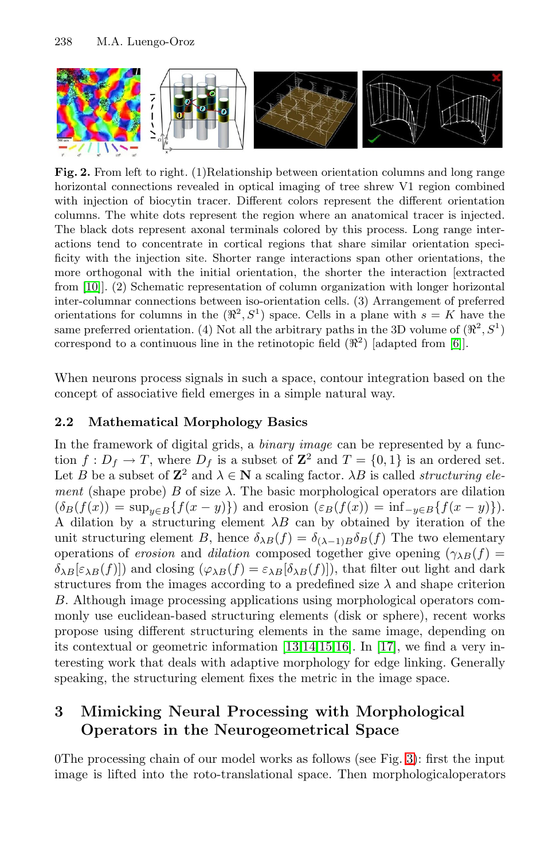<span id="page-2-0"></span>

**Fig. 2.** From left to right. (1)Relationship between orientation columns and long range horizontal connections revealed in optical imaging of tree shrew V1 region combined with injection of biocytin tracer. Different colors represent the different orientation columns. The white dots represent the region where an anatomical tracer is injected. The black dots represent axonal terminals colored by [th](#page-11-0)is process. Long range interactions tend to concentrate in cortical regions that share similar orientation specificity with the injection site. Shorter range interactions span other orientations, the more orthogonal with the initial orientation, the shorter the interaction [extracted from [10]]. (2) Schematic representation of column organization with longer horizontal inter-columnar connections between iso-orientation cells. (3) Arrangement of preferred orientations for columns in the  $(\Re^2, S^1)$  space. Cells in a plane with  $s = K$  have the same preferred orientation. (4) Not all the arbitrary paths in the 3D volume of  $(\Re^2, S^1)$ correspond to a continuous line in the retinotopic field  $(\Re^2)$  [adapted from [6]].

When neurons process signals in such a space, contour integration based on the concept of associative field emerges in a simple natural way.

### **2.2 Mathematical Morphology Basics**

In the framework of digital grids, a *binary image* can be represented by a function  $f: D_f \to T$ , where  $D_f$  is a subset of  $\mathbb{Z}^2$  and  $T = \{0, 1\}$  is an ordered set. Let B be a subset of  $\mathbb{Z}^2$  and  $\lambda \in \mathbb{N}$  a scaling factor.  $\lambda B$  is called *structuring element* (shape probe) B of size  $\lambda$ . The basic morphological operators are dilation  $(\delta_B(f(x)) = \sup_{y \in B} \{f(x - y)\})$  and erosion  $(\varepsilon_B(f(x))) = \inf_{y \in B} \{f(x - y)\}).$ A dilation by a stru[ctu](#page-11-5)[rin](#page-11-6)[g e](#page-11-7)[lem](#page-11-8)ent  $\lambda B$  can by obtained by iteration of the unit structuring element B, hence  $\delta_{\lambda B}(f) = \delta_{(\lambda-1)B}\delta_B(f)$  The two elementary operations of *erosion* and *dilation* composed together give opening  $(\gamma_{AB}(f))$  $\delta_{\lambda B}[\varepsilon_{\lambda B}(f)]$  and closing  $(\varphi_{\lambda B}(f)) = \varepsilon_{\lambda B}[\delta_{\lambda B}(f)]$ , that filter out light and dark structures from the images according to a predefined size  $\lambda$  and shape criterion B. Although image processing applications using morphological operators commonly use euclidean-based structuring elements (disk or sphere), recent works propose using different structuring eleme[nts](#page-3-0) in the same image, depending on its contextual or geometric information [13,14,15,16]. In [17], we find a very interesting work that deals with adaptive morphology for edge linking. Generally speaking, the structuring element fixes the metric in the image space.

## **3 Mimicking Neural Processing with Morphological Operators in the Neurogeometrical Space**

0The processing chain of our model works as follows (see Fig. 3): first the input image is lifted into the roto-translational space. Then morphologicaloperators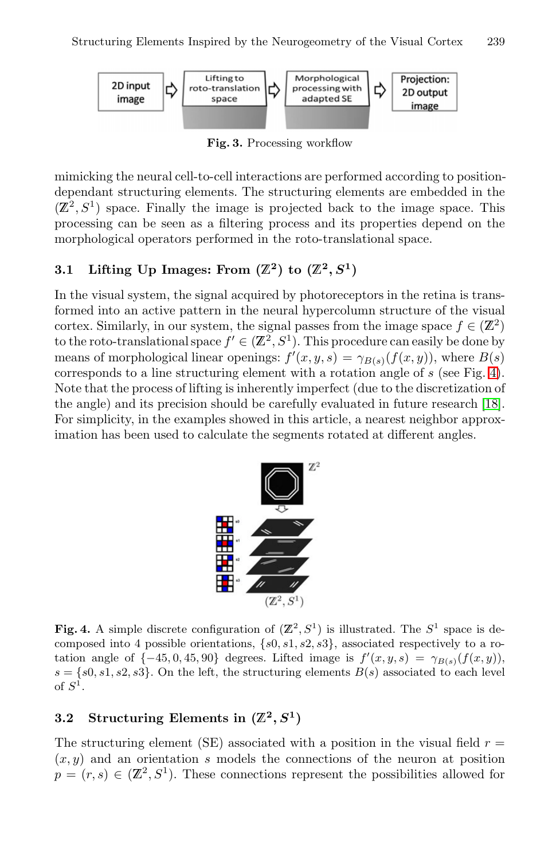<span id="page-3-0"></span>

**Fig. 3.** Processing workflow

mimicking the neural cell-to-cell interactions are performed according to positiondependant structuring elements. The structuring elements are embedded in the  $(\mathbb{Z}^2, S^1)$  space. Finally the image is projected back to the image space. This processing can be seen as a filtering process and its properties depend on the morphological operators performed in the roto-translational space.

## **3.1** Lifting Up Images: From  $(\mathbb{Z}^2)$  to  $(\mathbb{Z}^2, S^1)$

In the visual system, the signal acquired by photorecepto[rs](#page-11-10) [in](#page-11-10) the retina is transformed into an active pattern in the neural hypercolumn structure of the visual cortex. Similarly, in our system, the signal passes from the image space  $f \in (\mathbb{Z}^2)$ to the roto-translational space  $f' \in (\mathbb{Z}^2, S^1)$ . This procedure can easily be done by means of morphological linear openings:  $f'(x, y, s) = \gamma_{B(s)}(f(x, y))$ , where  $B(s)$ corresponds to a line structuring element with a rotation angle of  $s$  (see Fig. 4). Note that the process of lifting is inherently imperfect (due to the discretization of the angle) and its precision should be carefully evaluated in future research [18]. For simplicity, in the examples showed in this article, a nearest neighbor approximation has been used to calculate the segments rotated at different angles.



**Fig. 4.** A simple discrete configuration of  $(\mathbb{Z}^2, S^1)$  is illustrated. The  $S^1$  space is decomposed into 4 possible orientations,  $\{s0, s1, s2, s3\}$ , associated respectively to a rotation angle of  $\{-45, 0, 45, 90\}$  degrees. Lifted image is  $f'(x, y, s) = \gamma_{B(s)}(f(x, y))$ ,  $s = \{s0, s1, s2, s3\}$ . On the left, the structuring elements  $B(s)$  associated to each level of  $S^1$ .

## **3.2 Structuring Elements in**  $(\mathbb{Z}^2, S^1)$

The structuring element (SE) associated with a position in the visual field  $r =$  $(x, y)$  and an orientation s models the connections of the neuron at position  $p = (r, s) \in (\mathbb{Z}^2, S^1)$ . These connections represent the possibilities allowed for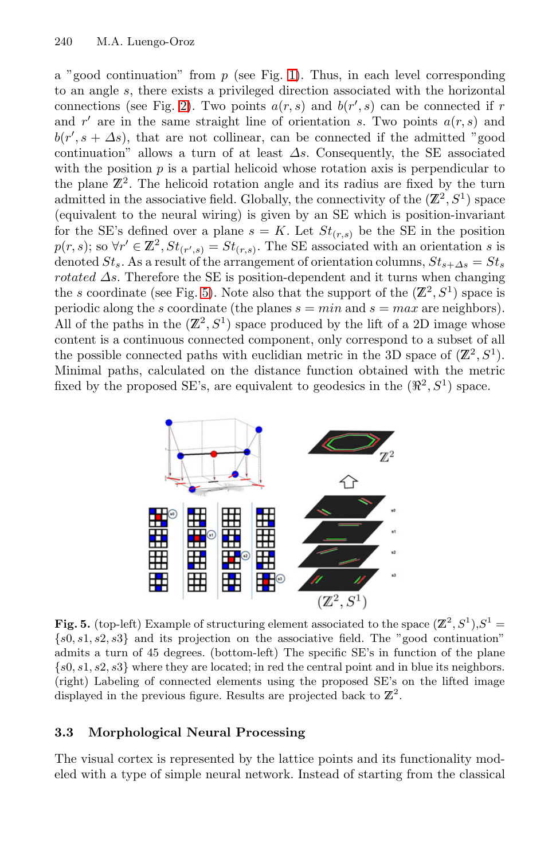a "good continuation" from  $p$  (see Fig. 1). Thus, in each level corresponding to an angle s, there exists a privileged direction associated with the horizontal connections (see Fig. 2). Two points  $a(r, s)$  and  $b(r', s)$  can be connected if r and r' are in the same straight line of orientation s. Two points  $a(r, s)$  and  $b(r', s + \Delta s)$ , that are not collinear, can be connected if the admitted "good continuation" allows a turn of at least  $\Delta s$ . Consequently, the SE associated with t[he](#page-4-0) position  $p$  is a partial helicoid whose rotation axis is perpendicular to the plane  $\mathbb{Z}^2$ . The helicoid rotation angle and its radius are fixed by the turn admitted in the associative field. Globally, the connectivity of the  $(\mathbb{Z}^2, S^1)$  space (equivalent to the neural wiring) is given by an SE which is position-invariant for the SE's defined over a plane  $s = K$ . Let  $St_{(r,s)}$  be the SE in the position  $p(r, s)$ ; so  $\forall r' \in \mathbb{Z}^2$ ,  $St_{(r', s)} = St_{(r, s)}$ . The SE associated with an orientation s is denoted  $St_s$ . As a result of the arrangement of orientation columns,  $St_{s+\Delta s} = St_s$ *rotated*  $\Delta s$ . Therefore the SE is position-dependent and it turns when changing the s coordinate (see Fig. 5). Note also that the support of the  $(\mathbb{Z}^2, S^1)$  space is periodic along the s coordinate (the planes  $s = min$  and  $s = max$  are neighbors). All of the paths in the  $(\mathbb{Z}^2, S^1)$  space produced by the lift of a 2D image whose content is a continuous connected component, only correspond to a subset of all the possible connected paths with euclidian metric in the 3D space of  $(\mathbb{Z}^2, S^1)$ . Minimal paths, calculated on the distance function obtained with the metric fixed by the proposed SE's, are equivalent to geodesics in the  $(\Re^2, S^1)$  space.



<span id="page-4-0"></span>**Fig. 5.** (top-left) Example of structuring element associated to the space  $(\mathbb{Z}^2, S^1), S^1 =$  $\{s0, s1, s2, s3\}$  and its projection on the associative field. The "good continuation" admits a turn of 45 degrees. (bottom-left) The specific SE's in function of the plane  $\{s0, s1, s2, s3\}$  where they are located; in red the central point and in blue its neighbors. (right) Labeling of connected elements using the proposed SE's on the lifted image displayed in the previous figure. Results are projected back to  $\mathbb{Z}^2$ .

### **3.3 Morphological Neural Processing**

The visual cortex is represented by the lattice points and its functionality modeled with a type of simple neural network. Instead of starting from the classical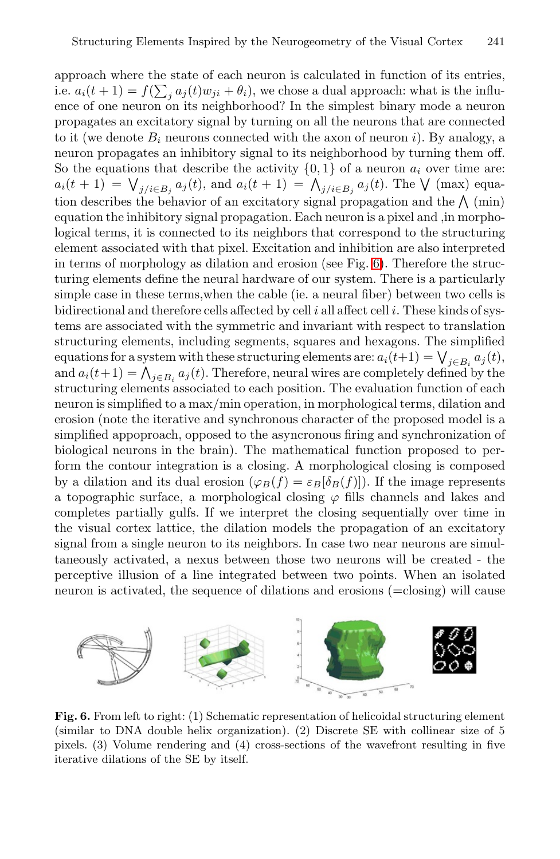approach where the state of each neuron is calculated in function of its entries, i.e.  $a_i(t+1) = f(\sum_j a_j(t)w_{ji} + \theta_i)$ , we chose a dual approach: what is the influence of one neuron on its neighborhood? In the simplest binary mode a neuron propagates an excitatory signal by turning on all the neurons that are connected to it (we [d](#page-5-0)enote  $B_i$  neurons connected with the axon of neuron i). By analogy, a neuron propagates an inhibitory signal to its neighborhood by turning them off. So the equations that describe the activity  $\{0,1\}$  of a neuron  $a_i$  over time are:  $a_i(t + 1) = \bigvee_{j/i \in B_j} a_j(t)$ , and  $a_i(t + 1) = \bigwedge_{j/i \in B_j} a_j(t)$ . The  $\bigvee$  (max) equation describes the behavior of an excitatory signal propagation and the  $\Lambda$  (min) equation the inhibitory signal propagation. Each neuron is a pixel and ,in morphological terms, it is connected to its neighbors that correspond to the structuring element associated with that pixel. Excitation and inhibition are also interpreted in terms of morphology as dilation and erosion (see Fig. 6). Therefore the structuring elements define the neural hardware of our system. There is a particularly simple case in these terms,when the cable (ie. a neural fiber) between two cells is bidirectional and therefore cells affected by cell  $i$  all affect cell  $i$ . These kinds of systems are associated with the symmetric and invariant with respect to translation structuring elements, including segments, squares and hexagons. The simplified equations for a system with these structuring elements are:  $a_i(t+1) = \bigvee_{j \in B_i} a_j(t)$ , and  $a_i(t+1) = \bigwedge_{j \in B_i} a_j(t)$ . Therefore, neural wires are completely defined by the structuring elements associated to each position. The evaluation function of each neuron is simplified to a max/min operation, in morphological terms, dilation and erosion (note the iterative and synchronous character of the proposed model is a simplified appoproach, opposed to the asyncronous firing and synchronization of biological neurons in the brain). The mathematical function proposed to perform the contour integration is a closing. A morphological closing is composed by a dilation and its dual erosion  $(\varphi_B(f) = \varepsilon_B[\delta_B(f)])$ . If the image represents a topographic surface, a morphological closing  $\varphi$  fills channels and lakes and completes partially gulfs. If we interpret the closing sequentially over time in the visual cortex lattice, the dilation models the propagation of an excitatory signal from a single neuron to its neighbors. In case two near neurons are simultaneously activated, a nexus between those two neurons will be created - the perceptive illusion of a line integrated between two points. When an isolated neuron is activated, the sequence of dilations and erosions (=closing) will cause

<span id="page-5-0"></span>

**Fig. 6.** From left to right: (1) Schematic representation of helicoidal structuring element (similar to DNA double helix organization). (2) Discrete SE with collinear size of 5 pixels. (3) Volume rendering and (4) cross-sections of the wavefront resulting in five iterative dilations of the SE by itself.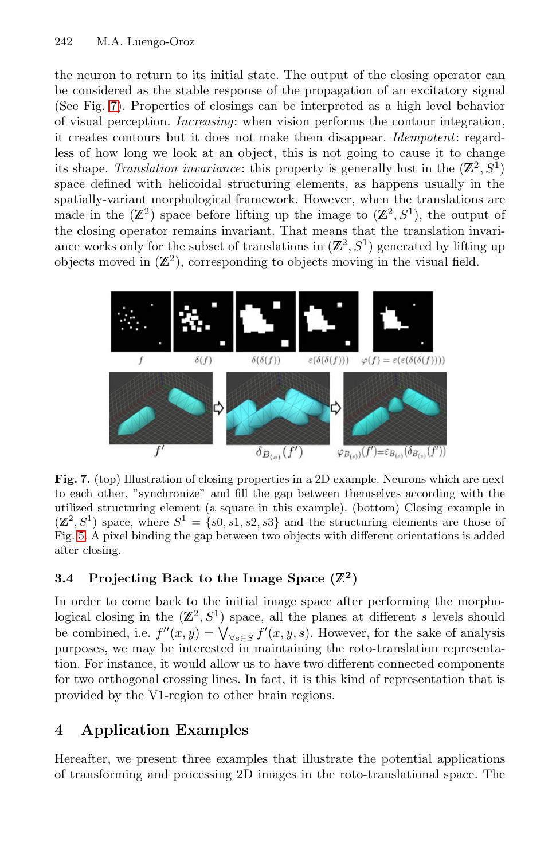the neuron to return to its initial state. The output of the closing operator can be considered as the stable response of the propagation of an excitatory signal (See Fig. 7). Properties of closings can be interpreted as a high level behavior of visual perception. *Increasing*: when vision performs the contour integration, it creates contours but it does not make them disappear. *Idempotent*: regardless of how long we look at an object, this is not going to cause it to change its shape. *Translation invariance*: this property is generally lost in the  $(\mathbb{Z}^2, S^1)$ space defined with helicoidal structuring elements, as happens usually in the spatially-variant morphological framework. However, when the translations are made in the  $(\mathbb{Z}^2)$  space before lifting up the image to  $(\mathbb{Z}^2, S^1)$ , the output of the closing operator remains invariant. That means that the translation invariance works only for the subset of translations in  $(\mathbb{Z}^2, S^1)$  generated by lifting up objects moved in  $(\mathbb{Z}^2)$ , corresponding to objects moving in the visual field.



**Fig. 7.** (top) Illustration of closing properties in a 2D example. Neurons which are next to each other, "synchronize" and fill the gap between themselves according with the utilized structuring element (a square in this example). (bottom) Closing example in  $(\mathbb{Z}^2, S^1)$  space, where  $S^1 = \{s0, s1, s2, s3\}$  and the structuring elements are those of Fig. 5. A pixel binding the gap between two objects with different orientations is added after closing.

## **3.4** Projecting Back to the Image Space  $(\mathbb{Z}^2)$

In order to come back to the initial image space after performing the morphological closing in the  $(\mathbb{Z}^2, S^1)$  space, all the planes at different s levels should be combined, i.e.  $f''(x, y) = \bigvee_{\forall s \in S} f'(x, y, s)$ . However, for the sake of analysis purposes, we may be interested in maintaining the roto-translation representation. For instance, it would allow us to have two different connected components for two orthogonal crossing lines. In fact, it is this kind of representation that is provided by the V1-region to other brain regions.

## **4 Application Examples**

Hereafter, we present three examples that illustrate the potential applications of transforming and processing 2D images in the roto-translational space. The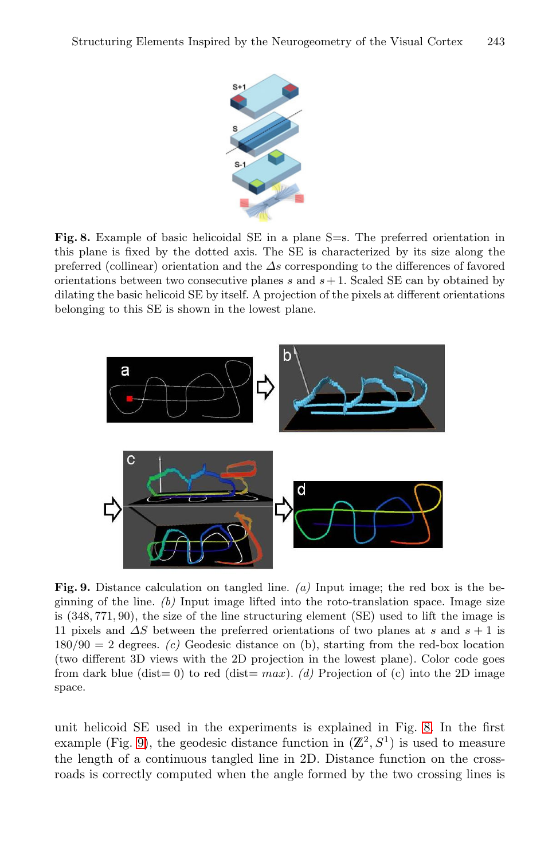<span id="page-7-0"></span>

**Fig. 8.** Example of basic helicoidal SE in a plane S=s. The preferred orientation in this plane is fixed by the dotted axis. The SE is characterized by its size along the preferred (collinear) orientation and the  $\Delta s$  corresponding to the differences of favored orientations between two consecutive planes s and  $s + 1$ . Scaled SE can by obtained by dilating the basic helicoid SE by itself. A projection of the pixels at different orientations belonging to this SE is shown in the lowest plane.



**Fig. 9.** Distance calculation on tangled line. *(a)* Input image; the red box is the beginning of the line. *(b)* Input image lifted into t[he](#page-7-0) roto-translation space. Image size is (348, 771, 90), the size of the line structuring element (SE) used to lift the image is 11 pixels and  $\Delta S$  between the preferred orientations of two planes at s and s + 1 is 180/90 = 2 degrees. *(c)* Geodesic distance on (b), starting from the red-box location (two different 3D views with the 2D projection in the lowest plane). Color code goes from dark blue (dist= 0) to red (dist=  $max$ ). *(d)* Projection of (c) into the 2D image space.

unit helicoid SE used in the experiments is explained in Fig. 8. In the first example (Fig. 9), the geodesic distance function in  $(\mathbb{Z}^2, S^1)$  is used to measure the length of a continuous tangled line in 2D. Distance function on the crossroads is correctly computed when the angle formed by the two crossing lines is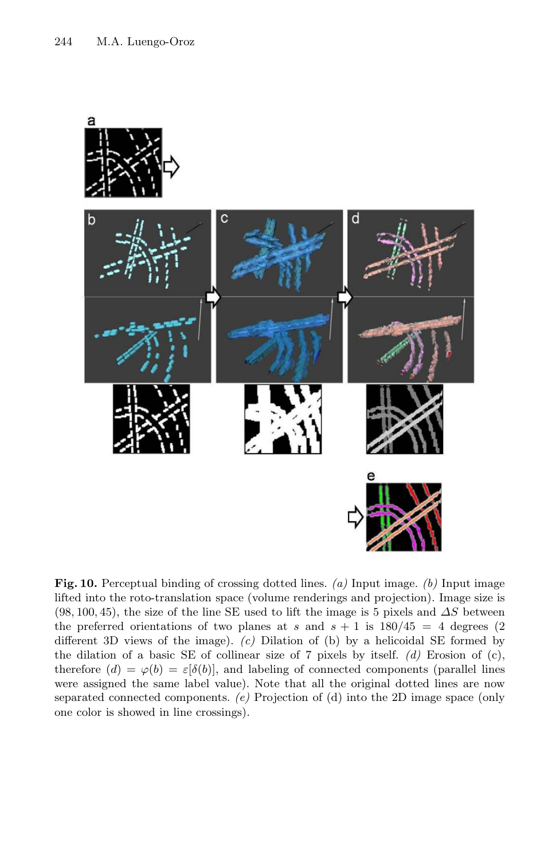

**Fig. 10.** Perceptual binding of crossing dotted lines. *(a)* Input image. *(b)* Input image lifted into the roto-translation space (volume renderings and projection). Image size is  $(98, 100, 45)$ , the size of the line SE used to lift the image is 5 pixels and  $\Delta S$  between the preferred orientations of two planes at s and  $s + 1$  is  $180/45 = 4$  degrees (2) different 3D views of the image). *(c)* Dilation of (b) by a helicoidal SE formed by the dilation of a basic SE of collinear size of 7 pixels by itself. *(d)* Erosion of (c), therefore  $(d) = \varphi(b) = \varepsilon[\delta(b)]$ , and labeling of connected components (parallel lines were assigned the same label value). Note that all the original dotted lines are now separated connected components. *(e)* Projection of (d) into the 2D image space (only one color is showed in line crossings).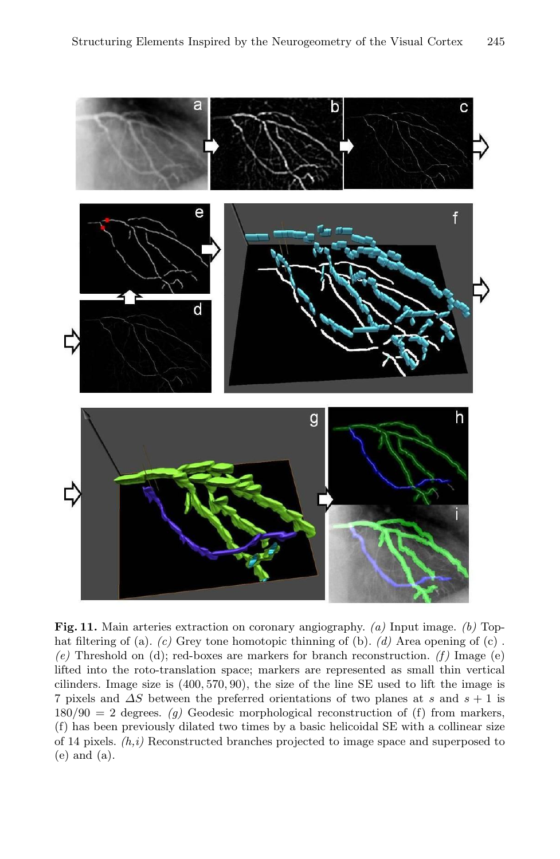

<span id="page-9-0"></span>**Fig. 11.** Main arteries extraction on coronary angiography. *(a)* Input image. *(b)* Tophat filtering of (a). *(c)* Grey tone homotopic thinning of (b). *(d)* Area opening of (c) .  $(e)$  Threshold on (d); red-boxes are markers for branch reconstruction. *(f)* Image (e) lifted into the roto-translation space; markers are represented as small thin vertical cilinders. Image size is (400, 570, 90), the size of the line SE used to lift the image is 7 pixels and  $\Delta S$  between the preferred orientations of two planes at s and  $s + 1$  is  $180/90 = 2$  degrees. *(g)* Geodesic morphological reconstruction of (f) from markers, (f) has been previously dilated two times by a basic helicoidal SE with a collinear size of 14 pixels. *(h,i)* Reconstructed branches projected to image space and superposed to (e) and (a).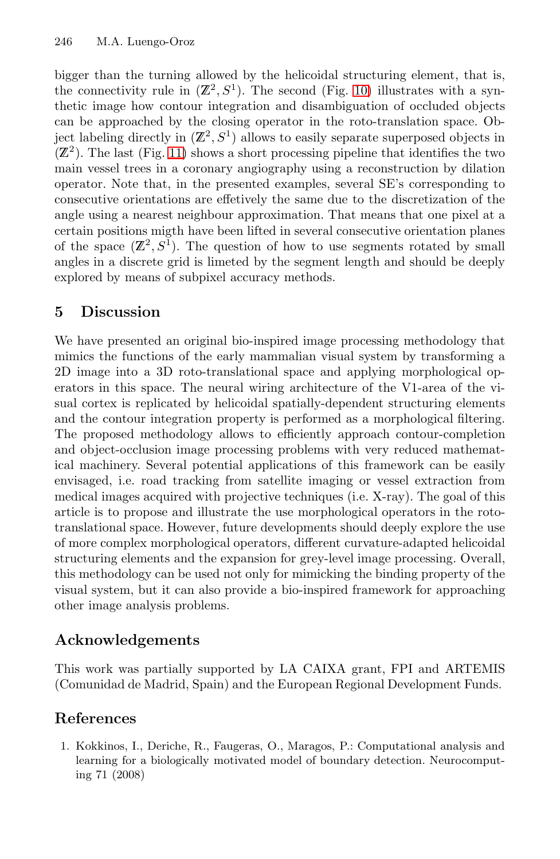bigger than the turning allowed by the helicoidal structuring element, that is, the connectivity rule in  $(\mathbb{Z}^2, S^1)$ . The second (Fig. 10) illustrates with a synthetic image how contour integration and disambiguation of occluded objects can be approached by the closing operator in the roto-translation space. Object labeling directly in  $(\mathbb{Z}^2, S^1)$  allows to easily separate superposed objects in  $(\mathbb{Z}^2)$ . The last (Fig. 11) shows a short processing pipeline that identifies the two main vessel trees in a coronary angiography using a reconstruction by dilation operator. Note that, in the presented examples, several SE's corresponding to consecutive orientations are effetively the same due to the discretization of the angle using a nearest neighbour approximation. That means that one pixel at a certain positions migth have been lifted in several consecutive orientation planes of the space  $(\mathbb{Z}^2, S^1)$ . The question of how to use segments rotated by small angles in a discrete grid is limeted by the segment length and should be deeply explored by means of subpixel accuracy methods.

## **5 Discussion**

We have presented an original bio-inspired image processing methodology that mimics the functions of the early mammalian visual system by transforming a 2D image into a 3D roto-translational space and applying morphological operators in this space. The neural wiring architecture of the V1-area of the visual cortex is replicated by helicoidal spatially-dependent structuring elements and the contour integration property is performed as a morphological filtering. The proposed methodology allows to efficiently approach contour-completion and object-occlusion image processing problems with very reduced mathematical machinery. Several potential applications of this framework can be easily envisaged, i.e. road tracking from satellite imaging or vessel extraction from medical images acquired with projective techniques (i.e. X-ray). The goal of this article is to propose and illustrate the use morphological operators in the rototranslational space. However, future developments should deeply explore the use of more complex morphological operators, different curvature-adapted helicoidal structuring elements and the expansion for grey-level image processing. Overall, this methodology can be used not only for mimicking the binding property of the visual system, but it can also provide a bio-inspired framework for approaching other image analysis problems.

## **Acknowledgements**

This work was partially supported by LA CAIXA grant, FPI and ARTEMIS (Comunidad de Madrid, Spain) and the European Regional Development Funds.

## **References**

1. Kokkinos, I., Deriche, R., Faugeras, O., Maragos, P.: Computational analysis and learning for a biologically motivated model of boundary detection. Neurocomputing 71 (2008)